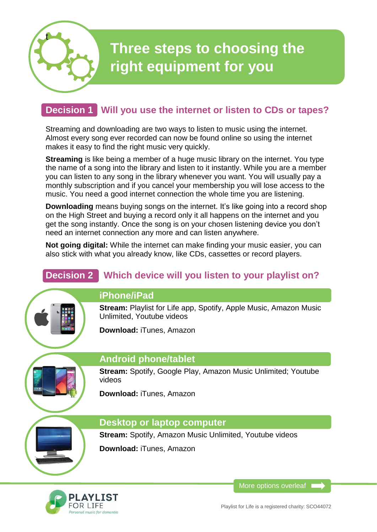

# **Three steps to choosing the right equipment for you**

# **Decision 1 Will you use the internet or listen to CDs or tapes?**

Streaming and downloading are two ways to listen to music using the internet. Almost every song ever recorded can now be found online so using the internet makes it easy to find the right music very quickly.

**Streaming** is like being a member of a huge music library on the internet. You type the name of a song into the library and listen to it instantly. While you are a member you can listen to any song in the library whenever you want. You will usually pay a monthly subscription and if you cancel your membership you will lose access to the music. You need a good internet connection the whole time you are listening.

**Downloading** means buying songs on the internet. It's like going into a record shop on the High Street and buying a record only it all happens on the internet and you get the song instantly. Once the song is on your chosen listening device you don't need an internet connection any more and can listen anywhere.

**Not going digital:** While the internet can make finding your music easier, you can also stick with what you already know, like CDs, cassettes or record players.

# **Decision 2 Which device will you listen to your playlist on?**



#### **iPhone/iPad**

**Stream: Playlist for Life app. Spotify, Apple Music, Amazon Music** Unlimited, Youtube videos

**Download:** iTunes, Amazon



#### **Android phone/tablet**

**Stream: Spotify, Google Play, Amazon Music Unlimited: Youtube** videos

**Download:** iTunes, Amazon

#### **Desktop or laptop computer**

**Stream:** Spotify, Amazon Music Unlimited, Youtube videos

**Download:** iTunes, Amazon



More options overleaf 1